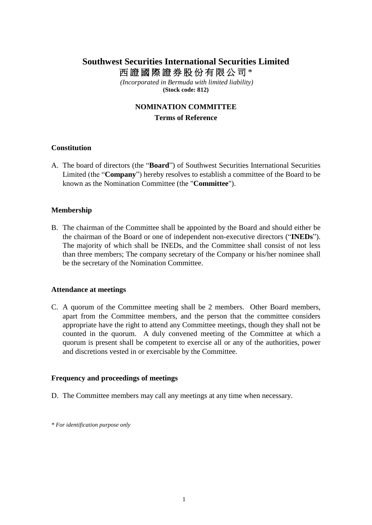# **Southwest Securities International Securities Limited** 西證國際證券股份有限公司 \*

*(Incorporated in Bermuda with limited liability)* **(Stock code: 812)**

# **NOMINATION COMMITTEE**

### **Terms of Reference**

# **Constitution**

A. The board of directors (the "**Board**") of Southwest Securities International Securities Limited (the "**Company**") hereby resolves to establish a committee of the Board to be known as the Nomination Committee (the "**Committee**").

#### **Membership**

B. The chairman of the Committee shall be appointed by the Board and should either be the chairman of the Board or one of independent non-executive directors ("**INEDs**"). The majority of which shall be INEDs, and the Committee shall consist of not less than three members; The company secretary of the Company or his/her nominee shall be the secretary of the Nomination Committee.

#### **Attendance at meetings**

C. A quorum of the Committee meeting shall be 2 members. Other Board members, apart from the Committee members, and the person that the committee considers appropriate have the right to attend any Committee meetings, though they shall not be counted in the quorum. A duly convened meeting of the Committee at which a quorum is present shall be competent to exercise all or any of the authorities, power and discretions vested in or exercisable by the Committee.

# **Frequency and proceedings of meetings**

D. The Committee members may call any meetings at any time when necessary.

*\* For identification purpose only*